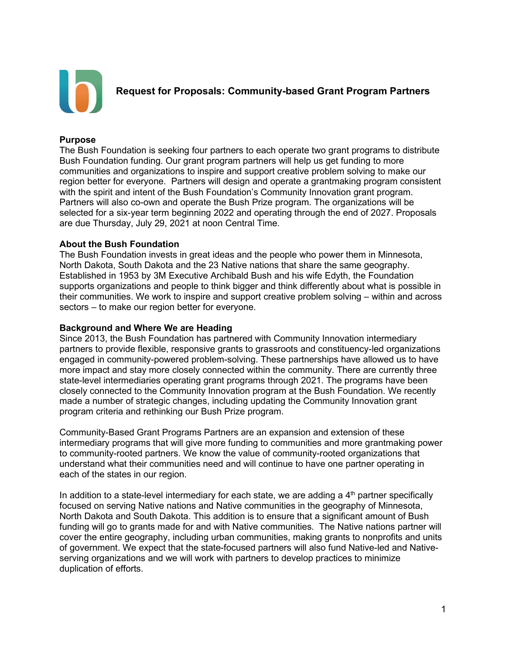

**Request for Proposals: Community-based Grant Program Partners**

#### **Purpose**

The Bush Foundation is seeking four partners to each operate two grant programs to distribute Bush Foundation funding. Our grant program partners will help us get funding to more communities and organizations to inspire and support creative problem solving to make our region better for everyone. Partners will design and operate a grantmaking program consistent with the spirit and intent of the Bush Foundation's Community Innovation grant program. Partners will also co-own and operate the Bush Prize program. The organizations will be selected for a six-year term beginning 2022 and operating through the end of 2027. Proposals are due Thursday, July 29, 2021 at noon Central Time.

#### **About the Bush Foundation**

The Bush Foundation invests in great ideas and the people who power them in Minnesota, North Dakota, South Dakota and the 23 Native nations that share the same geography. Established in 1953 by 3M Executive Archibald Bush and his wife Edyth, the Foundation supports organizations and people to think bigger and think differently about what is possible in their communities. We work to inspire and support creative problem solving – within and across sectors – to make our region better for everyone.

#### **Background and Where We are Heading**

Since 2013, the Bush Foundation has partnered with Community Innovation intermediary partners to provide flexible, responsive grants to grassroots and constituency-led organizations engaged in community-powered problem-solving. These partnerships have allowed us to have more impact and stay more closely connected within the community. There are currently three state-level intermediaries operating grant programs through 2021. The programs have been closely connected to the Community Innovation program at the Bush Foundation. We recently made a number of strategic changes, including updating the Community Innovation grant program criteria and rethinking our Bush Prize program.

Community-Based Grant Programs Partners are an expansion and extension of these intermediary programs that will give more funding to communities and more grantmaking power to community-rooted partners. We know the value of community-rooted organizations that understand what their communities need and will continue to have one partner operating in each of the states in our region.

In addition to a state-level intermediary for each state, we are adding a  $4<sup>th</sup>$  partner specifically focused on serving Native nations and Native communities in the geography of Minnesota, North Dakota and South Dakota. This addition is to ensure that a significant amount of Bush funding will go to grants made for and with Native communities. The Native nations partner will cover the entire geography, including urban communities, making grants to nonprofits and units of government. We expect that the state-focused partners will also fund Native-led and Nativeserving organizations and we will work with partners to develop practices to minimize duplication of efforts.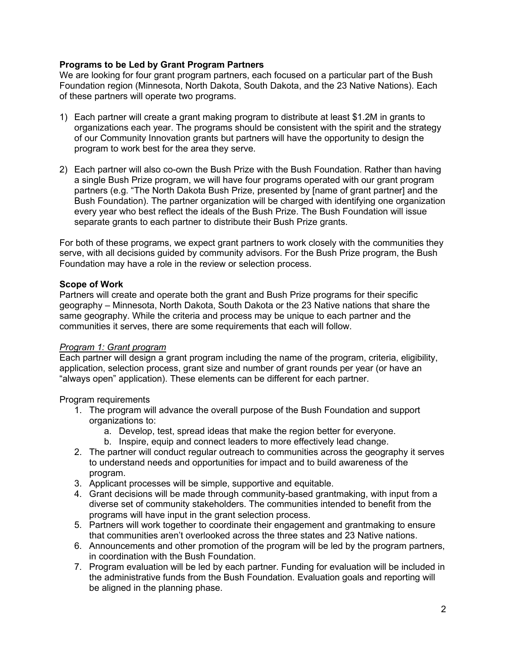# **Programs to be Led by Grant Program Partners**

We are looking for four grant program partners, each focused on a particular part of the Bush Foundation region (Minnesota, North Dakota, South Dakota, and the 23 Native Nations). Each of these partners will operate two programs.

- 1) Each partner will create a grant making program to distribute at least \$1.2M in grants to organizations each year. The programs should be consistent with the spirit and the strategy of our Community Innovation grants but partners will have the opportunity to design the program to work best for the area they serve.
- 2) Each partner will also co-own the Bush Prize with the Bush Foundation. Rather than having a single Bush Prize program, we will have four programs operated with our grant program partners (e.g. "The North Dakota Bush Prize, presented by [name of grant partner] and the Bush Foundation). The partner organization will be charged with identifying one organization every year who best reflect the ideals of the Bush Prize. The Bush Foundation will issue separate grants to each partner to distribute their Bush Prize grants.

For both of these programs, we expect grant partners to work closely with the communities they serve, with all decisions guided by community advisors. For the Bush Prize program, the Bush Foundation may have a role in the review or selection process.

# **Scope of Work**

Partners will create and operate both the grant and Bush Prize programs for their specific geography – Minnesota, North Dakota, South Dakota or the 23 Native nations that share the same geography. While the criteria and process may be unique to each partner and the communities it serves, there are some requirements that each will follow.

### *Program 1: Grant program*

Each partner will design a grant program including the name of the program, criteria, eligibility, application, selection process, grant size and number of grant rounds per year (or have an "always open" application). These elements can be different for each partner.

### Program requirements

- 1. The program will advance the overall purpose of the Bush Foundation and support organizations to:
	- a. Develop, test, spread ideas that make the region better for everyone.
	- b. Inspire, equip and connect leaders to more effectively lead change.
- 2. The partner will conduct regular outreach to communities across the geography it serves to understand needs and opportunities for impact and to build awareness of the program.
- 3. Applicant processes will be simple, supportive and equitable.
- 4. Grant decisions will be made through community-based grantmaking, with input from a diverse set of community stakeholders. The communities intended to benefit from the programs will have input in the grant selection process.
- 5. Partners will work together to coordinate their engagement and grantmaking to ensure that communities aren't overlooked across the three states and 23 Native nations.
- 6. Announcements and other promotion of the program will be led by the program partners, in coordination with the Bush Foundation.
- 7. Program evaluation will be led by each partner. Funding for evaluation will be included in the administrative funds from the Bush Foundation. Evaluation goals and reporting will be aligned in the planning phase.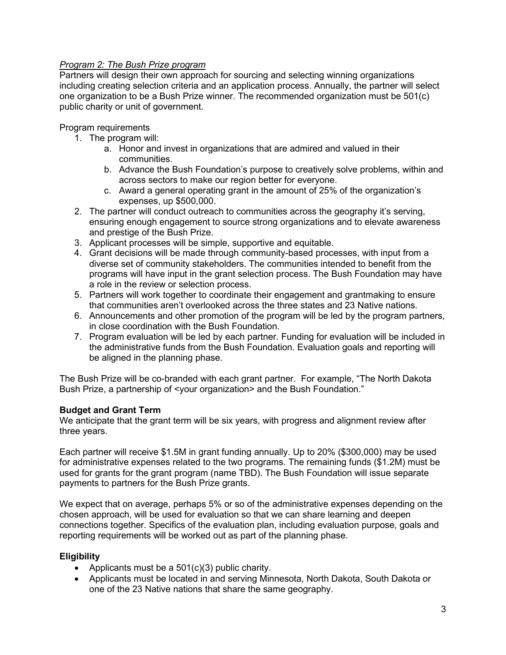# *Program 2: The Bush Prize program*

Partners will design their own approach for sourcing and selecting winning organizations including creating selection criteria and an application process. Annually, the partner will select one organization to be a Bush Prize winner. The recommended organization must be 501(c) public charity or unit of government.

Program requirements

- 1. The program will:
	- a. Honor and invest in organizations that are admired and valued in their communities.
	- b. Advance the Bush Foundation's purpose to creatively solve problems, within and across sectors to make our region better for everyone.
	- c. Award a general operating grant in the amount of 25% of the organization's expenses, up \$500,000.
- 2. The partner will conduct outreach to communities across the geography it's serving, ensuring enough engagement to source strong organizations and to elevate awareness and prestige of the Bush Prize.
- 3. Applicant processes will be simple, supportive and equitable.
- 4. Grant decisions will be made through community-based processes, with input from a diverse set of community stakeholders. The communities intended to benefit from the programs will have input in the grant selection process. The Bush Foundation may have a role in the review or selection process.
- 5. Partners will work together to coordinate their engagement and grantmaking to ensure that communities aren't overlooked across the three states and 23 Native nations.
- 6. Announcements and other promotion of the program will be led by the program partners, in close coordination with the Bush Foundation.
- 7. Program evaluation will be led by each partner. Funding for evaluation will be included in the administrative funds from the Bush Foundation. Evaluation goals and reporting will be aligned in the planning phase.

The Bush Prize will be co-branded with each grant partner. For example, "The North Dakota Bush Prize, a partnership of <your organization> and the Bush Foundation."

### **Budget and Grant Term**

We anticipate that the grant term will be six years, with progress and alignment review after three years.

Each partner will receive \$1.5M in grant funding annually. Up to 20% (\$300,000) may be used for administrative expenses related to the two programs. The remaining funds (\$1.2M) must be used for grants for the grant program (name TBD). The Bush Foundation will issue separate payments to partners for the Bush Prize grants.

We expect that on average, perhaps 5% or so of the administrative expenses depending on the chosen approach, will be used for evaluation so that we can share learning and deepen connections together. Specifics of the evaluation plan, including evaluation purpose, goals and reporting requirements will be worked out as part of the planning phase.

### **Eligibility**

- Applicants must be a  $501(c)(3)$  public charity.
- Applicants must be located in and serving Minnesota, North Dakota, South Dakota or one of the 23 Native nations that share the same geography.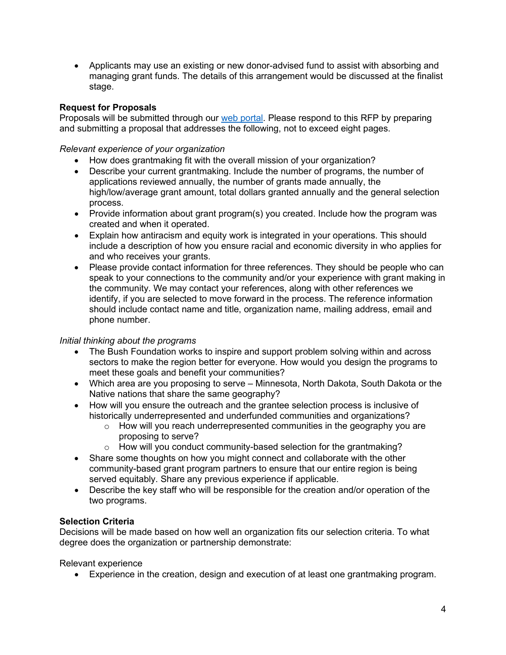• Applicants may use an existing or new donor-advised fund to assist with absorbing and managing grant funds. The details of this arrangement would be discussed at the finalist stage.

## **Request for Proposals**

Proposals will be submitted through our [web portal.](https://www.tfaforms.com/4900802) Please respond to this RFP by preparing and submitting a proposal that addresses the following, not to exceed eight pages.

*Relevant experience of your organization*

- How does grantmaking fit with the overall mission of your organization?
- Describe your current grantmaking. Include the number of programs, the number of applications reviewed annually, the number of grants made annually, the high/low/average grant amount, total dollars granted annually and the general selection process.
- Provide information about grant program(s) you created. Include how the program was created and when it operated.
- Explain how antiracism and equity work is integrated in your operations. This should include a description of how you ensure racial and economic diversity in who applies for and who receives your grants.
- Please provide contact information for three references. They should be people who can speak to your connections to the community and/or your experience with grant making in the community. We may contact your references, along with other references we identify, if you are selected to move forward in the process. The reference information should include contact name and title, organization name, mailing address, email and phone number.

# *Initial thinking about the programs*

- The Bush Foundation works to inspire and support problem solving within and across sectors to make the region better for everyone. How would you design the programs to meet these goals and benefit your communities?
- Which area are you proposing to serve Minnesota, North Dakota, South Dakota or the Native nations that share the same geography?
- How will you ensure the outreach and the grantee selection process is inclusive of historically underrepresented and underfunded communities and organizations?
	- $\circ$  How will you reach underrepresented communities in the geography you are proposing to serve?
	- o How will you conduct community-based selection for the grantmaking?
- Share some thoughts on how you might connect and collaborate with the other community-based grant program partners to ensure that our entire region is being served equitably. Share any previous experience if applicable.
- Describe the key staff who will be responsible for the creation and/or operation of the two programs.

### **Selection Criteria**

Decisions will be made based on how well an organization fits our selection criteria. To what degree does the organization or partnership demonstrate:

Relevant experience

• Experience in the creation, design and execution of at least one grantmaking program.